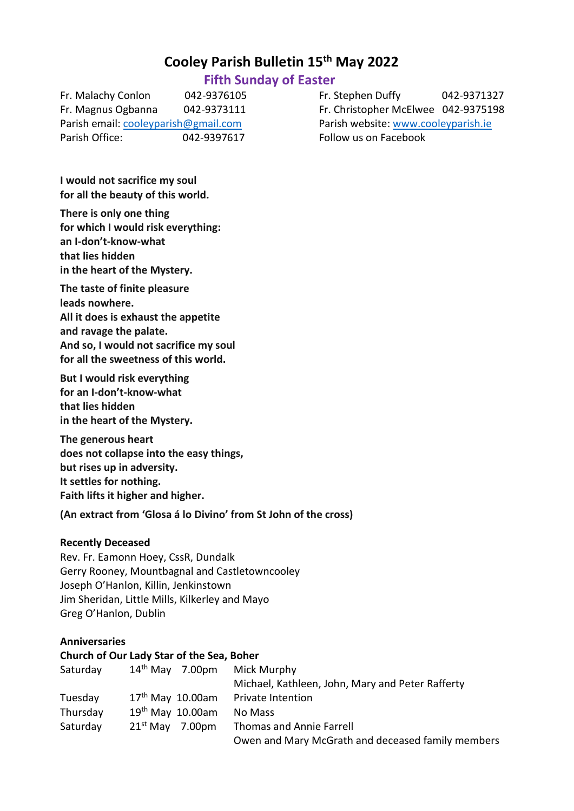# **Cooley Parish Bulletin 15th May 2022**

## **Fifth Sunday of Easter**

Fr. Malachy Conlon 042-9376105 Fr. Stephen Duffy 042-9371327 Fr. Magnus Ogbanna 042-9373111 Fr. Christopher McElwee 042-9375198 Parish email[: cooleyparish@gmail.com](mailto:cooleyparish@gmail.com) Parish website: [www.cooleyparish.ie](http://www.cooleyparish.ie/) Parish Office: 042-9397617 Follow us on Facebook

**I would not sacrifice my soul for all the beauty of this world.**

**There is only one thing for which I would risk everything: an I-don't-know-what that lies hidden in the heart of the Mystery.**

**The taste of finite pleasure leads nowhere. All it does is exhaust the appetite and ravage the palate. And so, I would not sacrifice my soul for all the sweetness of this world.**

**But I would risk everything for an I-don't-know-what that lies hidden in the heart of the Mystery.**

**The generous heart does not collapse into the easy things, but rises up in adversity. It settles for nothing. Faith lifts it higher and higher.**

**(An extract from 'Glosa á lo Divino' from St John of the cross)**

#### **Recently Deceased**

Rev. Fr. Eamonn Hoey, CssR, Dundalk Gerry Rooney, Mountbagnal and Castletowncooley Joseph O'Hanlon, Killin, Jenkinstown Jim Sheridan, Little Mills, Kilkerley and Mayo Greg O'Hanlon, Dublin

#### **Anniversaries**

# **Church of Our Lady Star of the Sea, Boher**

| Saturday | $14th$ May 7.00pm     | Mick Murphy                                       |
|----------|-----------------------|---------------------------------------------------|
|          |                       | Michael, Kathleen, John, Mary and Peter Rafferty  |
| Tuesday  | $17th$ May $10.00$ am | Private Intention                                 |
| Thursday | $19th$ May $10.00$ am | No Mass                                           |
| Saturday | $21st$ May 7.00pm     | Thomas and Annie Farrell                          |
|          |                       | Owen and Mary McGrath and deceased family members |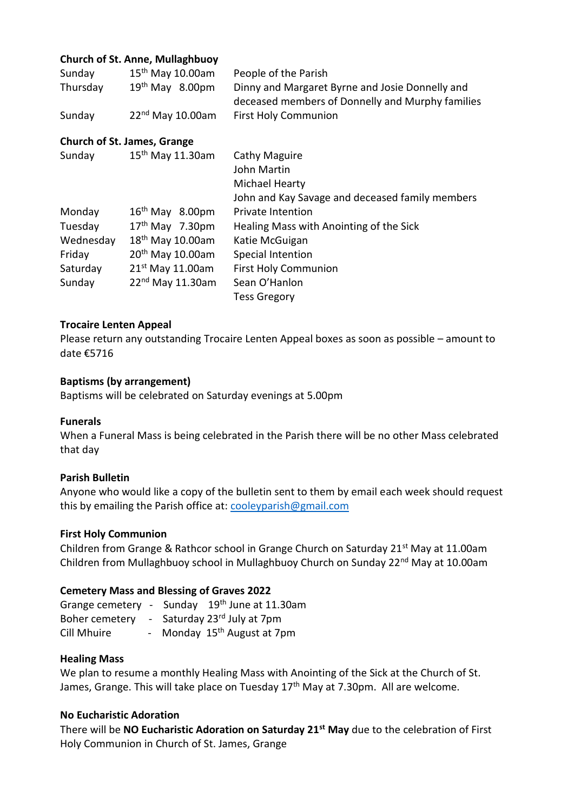## **Church of St. Anne, Mullaghbuoy**

| Sunday   | $15th$ May 10.00am | People of the Parish                             |
|----------|--------------------|--------------------------------------------------|
| Thursday | $19th$ May 8.00pm  | Dinny and Margaret Byrne and Josie Donnelly and  |
|          |                    | deceased members of Donnelly and Murphy families |
| Sunday   | $22nd$ May 10.00am | <b>First Holy Communion</b>                      |

#### **Church of St. James, Grange**

| Sunday    | 15 <sup>th</sup> May 11.30am | Cathy Maguire<br>John Martin                    |
|-----------|------------------------------|-------------------------------------------------|
|           |                              | Michael Hearty                                  |
|           |                              | John and Kay Savage and deceased family members |
| Monday    | $16th$ May 8.00pm            | Private Intention                               |
| Tuesday   | $17th$ May 7.30pm            | Healing Mass with Anointing of the Sick         |
| Wednesday | 18 <sup>th</sup> May 10.00am | Katie McGuigan                                  |
| Friday    | 20 <sup>th</sup> May 10.00am | Special Intention                               |
| Saturday  | 21 <sup>st</sup> May 11.00am | <b>First Holy Communion</b>                     |
| Sunday    | 22nd May 11.30am             | Sean O'Hanlon                                   |
|           |                              | <b>Tess Gregory</b>                             |

#### **Trocaire Lenten Appeal**

Please return any outstanding Trocaire Lenten Appeal boxes as soon as possible – amount to date €5716

#### **Baptisms (by arrangement)**

Baptisms will be celebrated on Saturday evenings at 5.00pm

#### **Funerals**

When a Funeral Mass is being celebrated in the Parish there will be no other Mass celebrated that day

#### **Parish Bulletin**

Anyone who would like a copy of the bulletin sent to them by email each week should request this by emailing the Parish office at: [cooleyparish@gmail.com](mailto:cooleyparish@gmail.com)

#### **First Holy Communion**

Children from Grange & Rathcor school in Grange Church on Saturday 21<sup>st</sup> May at 11.00am Children from Mullaghbuoy school in Mullaghbuoy Church on Sunday 22nd May at 10.00am

## **Cemetery Mass and Blessing of Graves 2022**

Grange cemetery - Sunday 19th June at 11.30am Boher cemetery - Saturday 23<sup>rd</sup> July at 7pm Cill Mhuire - Monday 15<sup>th</sup> August at 7pm

#### **Healing Mass**

We plan to resume a monthly Healing Mass with Anointing of the Sick at the Church of St. James, Grange. This will take place on Tuesday 17<sup>th</sup> May at 7.30pm. All are welcome.

#### **No Eucharistic Adoration**

There will be **NO Eucharistic Adoration on Saturday 21st May** due to the celebration of First Holy Communion in Church of St. James, Grange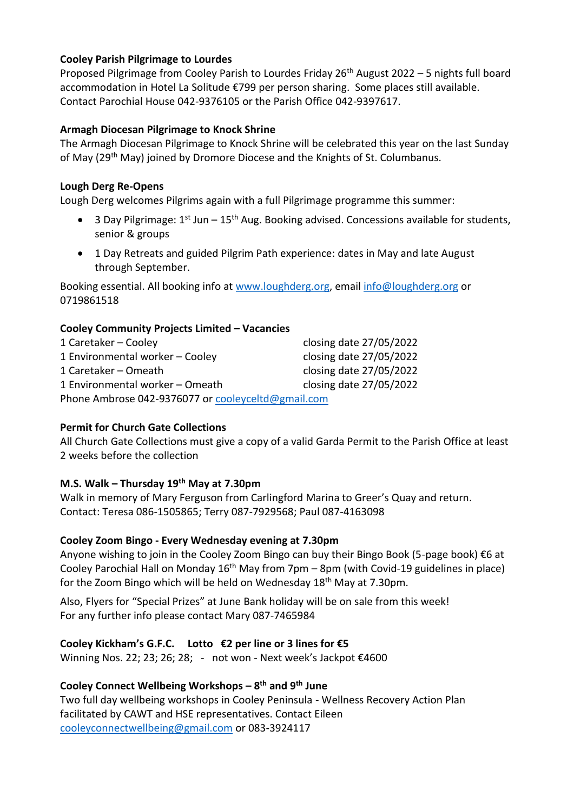## **Cooley Parish Pilgrimage to Lourdes**

Proposed Pilgrimage from Cooley Parish to Lourdes Friday 26<sup>th</sup> August 2022 – 5 nights full board accommodation in Hotel La Solitude €799 per person sharing. Some places still available. Contact Parochial House 042-9376105 or the Parish Office 042-9397617.

## **Armagh Diocesan Pilgrimage to Knock Shrine**

The Armagh Diocesan Pilgrimage to Knock Shrine will be celebrated this year on the last Sunday of May (29th May) joined by Dromore Diocese and the Knights of St. Columbanus.

## **Lough Derg Re-Opens**

Lough Derg welcomes Pilgrims again with a full Pilgrimage programme this summer:

- 3 Day Pilgrimage:  $1^{st}$  Jun  $15^{th}$  Aug. Booking advised. Concessions available for students, senior & groups
- 1 Day Retreats and guided Pilgrim Path experience: dates in May and late August through September.

Booking essential. All booking info at [www.loughderg.org,](http://www.loughderg.org/) email [info@loughderg.org](mailto:info@loughderg.org) or 0719861518

## **Cooley Community Projects Limited – Vacancies**

| 1 Caretaker – Cooley                               | closing date 27/05/2022 |  |  |  |
|----------------------------------------------------|-------------------------|--|--|--|
| 1 Environmental worker - Cooley                    | closing date 27/05/2022 |  |  |  |
| 1 Caretaker – Omeath                               | closing date 27/05/2022 |  |  |  |
| 1 Environmental worker - Omeath                    | closing date 27/05/2022 |  |  |  |
| Phone Ambrose 042-9376077 or cooleyceltd@gmail.com |                         |  |  |  |

#### **Permit for Church Gate Collections**

All Church Gate Collections must give a copy of a valid Garda Permit to the Parish Office at least 2 weeks before the collection

## **M.S. Walk – Thursday 19th May at 7.30pm**

Walk in memory of Mary Ferguson from Carlingford Marina to Greer's Quay and return. Contact: Teresa 086-1505865; Terry 087-7929568; Paul 087-4163098

## **Cooley Zoom Bingo - Every Wednesday evening at 7.30pm**

Anyone wishing to join in the Cooley Zoom Bingo can buy their Bingo Book (5-page book) €6 at Cooley Parochial Hall on Monday  $16<sup>th</sup>$  May from 7pm – 8pm (with Covid-19 guidelines in place) for the Zoom Bingo which will be held on Wednesday 18th May at 7.30pm.

Also, Flyers for "Special Prizes" at June Bank holiday will be on sale from this week! For any further info please contact Mary 087-7465984

#### **Cooley Kickham's G.F.C. Lotto €2 per line or 3 lines for €5**

Winning Nos. 22; 23; 26; 28; - not won - Next week's Jackpot €4600

## **Cooley Connect Wellbeing Workshops – 8 th and 9th June**

Two full day wellbeing workshops in Cooley Peninsula - Wellness Recovery Action Plan facilitated by CAWT and HSE representatives. Contact Eileen [cooleyconnectwellbeing@gmail.com](mailto:cooleyconnectwellbeing@gmail.com) or 083-3924117